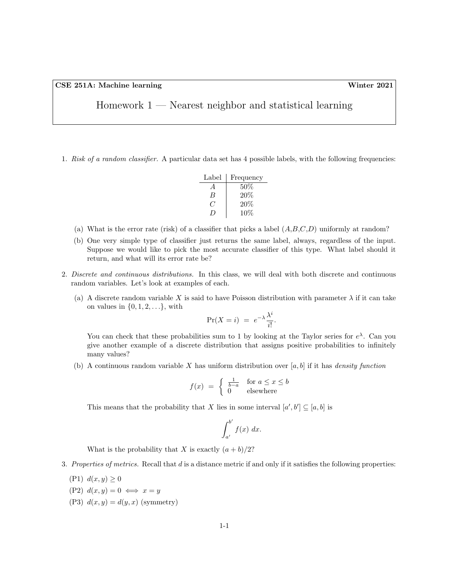| Homework $1$ — Nearest neighbor and statistical learning |  |  |  |
|----------------------------------------------------------|--|--|--|
|----------------------------------------------------------|--|--|--|

1. Risk of a random classifier. A particular data set has 4 possible labels, with the following frequencies:

| Label    | Frequency |
|----------|-----------|
| A        | $50\%$    |
| B        | 20%       |
| 7        | 20%       |
| $\prime$ | 10%       |

- (a) What is the error rate (risk) of a classifier that picks a label  $(A, B, C, D)$  uniformly at random?
- (b) One very simple type of classifier just returns the same label, always, regardless of the input. Suppose we would like to pick the most accurate classifier of this type. What label should it return, and what will its error rate be?
- 2. Discrete and continuous distributions. In this class, we will deal with both discrete and continuous random variables. Let's look at examples of each.
	- (a) A discrete random variable X is said to have Poisson distribution with parameter  $\lambda$  if it can take on values in  $\{0, 1, 2, \ldots\}$ , with

$$
\Pr(X = i) = e^{-\lambda} \frac{\lambda^i}{i!}.
$$

You can check that these probabilities sum to 1 by looking at the Taylor series for  $e^{\lambda}$ . Can you give another example of a discrete distribution that assigns positive probabilities to infinitely many values?

(b) A continuous random variable X has uniform distribution over  $[a, b]$  if it has *density function* 

$$
f(x) = \begin{cases} \frac{1}{b-a} & \text{for } a \le x \le b \\ 0 & \text{elsewhere} \end{cases}
$$

This means that the probability that X lies in some interval  $[a', b'] \subseteq [a, b]$  is

$$
\int_{a'}^{b'} f(x) \ dx.
$$

What is the probability that X is exactly  $(a + b)/2$ ?

- 3. Properties of metrics. Recall that d is a distance metric if and only if it satisfies the following properties:
	- (P1)  $d(x, y) \ge 0$
	- (P2)  $d(x, y) = 0 \iff x = y$
	- (P3)  $d(x, y) = d(y, x)$  (symmetry)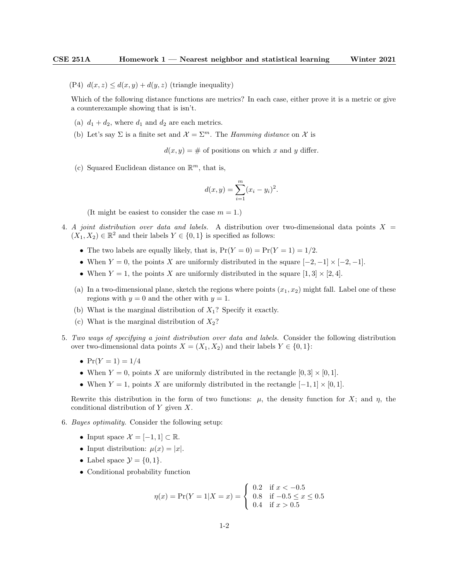(P4)  $d(x, z) \leq d(x, y) + d(y, z)$  (triangle inequality)

Which of the following distance functions are metrics? In each case, either prove it is a metric or give a counterexample showing that is isn't.

- (a)  $d_1 + d_2$ , where  $d_1$  and  $d_2$  are each metrics.
- (b) Let's say  $\Sigma$  is a finite set and  $\mathcal{X} = \Sigma^m$ . The *Hamming distance* on  $\mathcal{X}$  is

 $d(x, y) = \#$  of positions on which x and y differ.

(c) Squared Euclidean distance on  $\mathbb{R}^m$ , that is,

$$
d(x, y) = \sum_{i=1}^{m} (x_i - y_i)^2.
$$

(It might be easiest to consider the case  $m = 1$ .)

- 4. A joint distribution over data and labels. A distribution over two-dimensional data points  $X =$  $(X_1, X_2) \in \mathbb{R}^2$  and their labels  $Y \in \{0, 1\}$  is specified as follows:
	- The two labels are equally likely, that is,  $Pr(Y = 0) = Pr(Y = 1) = 1/2$ .
	- When  $Y = 0$ , the points X are uniformly distributed in the square  $[-2, -1] \times [-2, -1]$ .
	- When  $Y = 1$ , the points X are uniformly distributed in the square  $[1, 3] \times [2, 4]$ .
	- (a) In a two-dimensional plane, sketch the regions where points  $(x_1, x_2)$  might fall. Label one of these regions with  $y = 0$  and the other with  $y = 1$ .
	- (b) What is the marginal distribution of  $X_1$ ? Specify it exactly.
	- (c) What is the marginal distribution of  $X_2$ ?
- 5. Two ways of specifying a joint distribution over data and labels. Consider the following distribution over two-dimensional data points  $X = (X_1, X_2)$  and their labels  $Y \in \{0, 1\}$ :
	- $Pr(Y = 1) = 1/4$
	- When  $Y = 0$ , points X are uniformly distributed in the rectangle  $[0, 3] \times [0, 1]$ .
	- When  $Y = 1$ , points X are uniformly distributed in the rectangle  $[-1, 1] \times [0, 1]$ .

Rewrite this distribution in the form of two functions:  $\mu$ , the density function for X; and  $\eta$ , the conditional distribution of Y given X.

- 6. Bayes optimality. Consider the following setup:
	- Input space  $\mathcal{X} = [-1, 1] \subset \mathbb{R}$ .
	- Input distribution:  $\mu(x) = |x|$ .
	- Label space  $\mathcal{Y} = \{0, 1\}.$
	- Conditional probability function

$$
\eta(x) = \Pr(Y = 1 | X = x) = \begin{cases} \n0.2 & \text{if } x < -0.5 \\ \n0.8 & \text{if } -0.5 \le x \le 0.5 \\ \n0.4 & \text{if } x > 0.5 \n\end{cases}
$$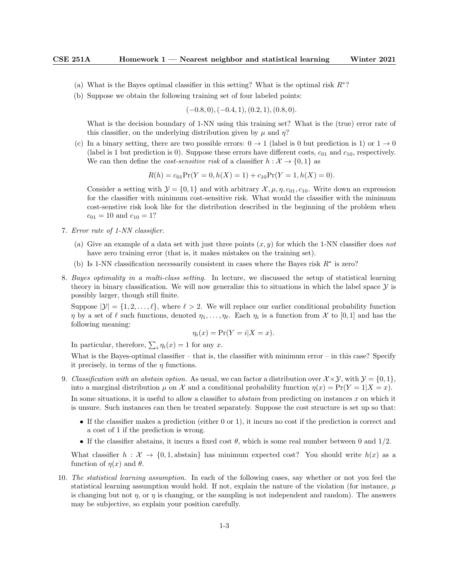- (a) What is the Bayes optimal classifier in this setting? What is the optimal risk  $R^*$ ?
- (b) Suppose we obtain the following training set of four labeled points:

$$
(-0.8, 0), (-0.4, 1), (0.2, 1), (0.8, 0).
$$

What is the decision boundary of 1-NN using this training set? What is the (true) error rate of this classifier, on the underlying distribution given by  $\mu$  and  $\eta$ ?

(c) In a binary setting, there are two possible errors:  $0 \rightarrow 1$  (label is 0 but prediction is 1) or  $1 \rightarrow 0$ (label is 1 but prediction is 0). Suppose these errors have different costs,  $c_{01}$  and  $c_{10}$ , respectively. We can then define the *cost-sensitive risk* of a classifier  $h : \mathcal{X} \to \{0, 1\}$  as

$$
R(h) = c_{01} \Pr(Y = 0, h(X) = 1) + c_{10} \Pr(Y = 1, h(X) = 0).
$$

Consider a setting with  $\mathcal{Y} = \{0, 1\}$  and with arbitrary  $\mathcal{X}, \mu, \eta, c_{01}, c_{10}$ . Write down an expression for the classifier with minimum cost-sensitive risk. What would the classifier with the minimum cost-senstive risk look like for the distribution described in the beginning of the problem when  $c_{01} = 10$  and  $c_{10} = 1?$ 

- 7. Error rate of 1-NN classifier.
	- (a) Give an example of a data set with just three points  $(x, y)$  for which the 1-NN classifier does not have zero training error (that is, it makes mistakes on the training set).
	- (b) Is 1-NN classification necessarily consistent in cases where the Bayes risk  $R^*$  is zero?
- 8. Bayes optimality in a multi-class setting. In lecture, we discussed the setup of statistical learning theory in binary classification. We will now generalize this to situations in which the label space  $\mathcal Y$  is possibly larger, though still finite.

Suppose  $|\mathcal{Y}| = \{1, 2, \ldots, \ell\}$ , where  $\ell > 2$ . We will replace our earlier conditional probability function  $\eta$  by a set of  $\ell$  such functions, denoted  $\eta_1, \ldots, \eta_\ell$ . Each  $\eta_i$  is a function from X to [0, 1] and has the following meaning:

$$
\eta_i(x) = \Pr(Y = i | X = x).
$$

In particular, therefore,  $\sum_i \eta_i(x) = 1$  for any x.

What is the Bayes-optimal classifier – that is, the classifier with minimum error – in this case? Specify it precisely, in terms of the  $\eta$  functions.

- 9. Classification with an abstain option. As usual, we can factor a distribution over  $\mathcal{X}\times\mathcal{Y}$ , with  $\mathcal{Y} = \{0, 1\}$ , into a marginal distribution  $\mu$  on X and a conditional probability function  $\eta(x) = \Pr(Y = 1 | X = x)$ . In some situations, it is useful to allow a classifier to *abstain* from predicting on instances x on which it is unsure. Such instances can then be treated separately. Suppose the cost structure is set up so that:
	- If the classifier makes a prediction (either 0 or 1), it incurs no cost if the prediction is correct and a cost of 1 if the prediction is wrong.
	- If the classifier abstains, it incurs a fixed cost  $\theta$ , which is some real number between 0 and  $1/2$ .

What classifier  $h : \mathcal{X} \to \{0, 1\}$ , abstain has minimum expected cost? You should write  $h(x)$  as a function of  $\eta(x)$  and  $\theta$ .

10. The statistical learning assumption. In each of the following cases, say whether or not you feel the statistical learning assumption would hold. If not, explain the nature of the violation (for instance,  $\mu$ is changing but not  $\eta$ , or  $\eta$  is changing, or the sampling is not independent and random). The answers may be subjective, so explain your position carefully.